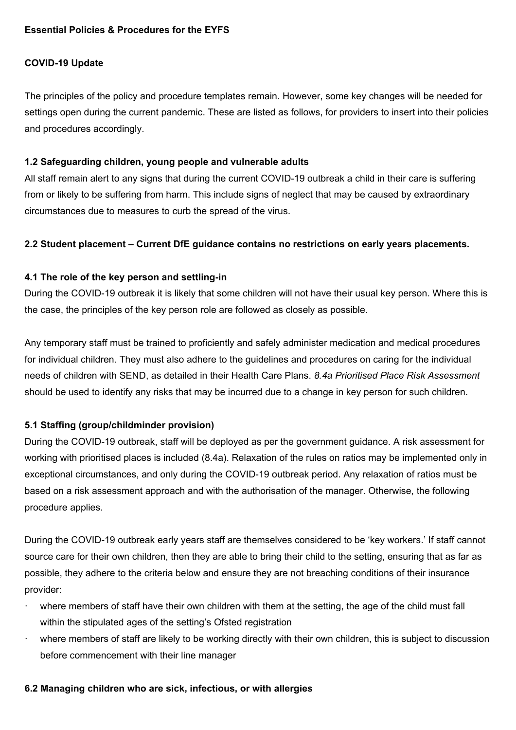# **COVID-19 Update**

The principles of the policy and procedure templates remain. However, some key changes will be needed for settings open during the current pandemic. These are listed as follows, for providers to insert into their policies and procedures accordingly.

#### **1.2 Safeguarding children, young people and vulnerable adults**

All staff remain alert to any signs that during the current COVID-19 outbreak a child in their care is suffering from or likely to be suffering from harm. This include signs of neglect that may be caused by extraordinary circumstances due to measures to curb the spread of the virus.

#### **2.2 Student placement – Current DfE guidance contains no restrictions on early years placements.**

## **4.1 The role of the key person and settling-in**

During the COVID-19 outbreak it is likely that some children will not have their usual key person. Where this is the case, the principles of the key person role are followed as closely as possible.

Any temporary staff must be trained to proficiently and safely administer medication and medical procedures for individual children. They must also adhere to the guidelines and procedures on caring for the individual needs of children with SEND, as detailed in their Health Care Plans. *8.4a Prioritised Place Risk Assessment*  should be used to identify any risks that may be incurred due to a change in key person for such children.

## **5.1 Staffing (group/childminder provision)**

During the COVID-19 outbreak, staff will be deployed as per the government guidance. A risk assessment for working with prioritised places is included (8.4a). Relaxation of the rules on ratios may be implemented only in exceptional circumstances, and only during the COVID-19 outbreak period. Any relaxation of ratios must be based on a risk assessment approach and with the authorisation of the manager. Otherwise, the following procedure applies.

During the COVID-19 outbreak early years staff are themselves considered to be 'key workers.' If staff cannot source care for their own children, then they are able to bring their child to the setting, ensuring that as far as possible, they adhere to the criteria below and ensure they are not breaching conditions of their insurance provider:

- where members of staff have their own children with them at the setting, the age of the child must fall within the stipulated ages of the setting's Ofsted registration
- where members of staff are likely to be working directly with their own children, this is subject to discussion before commencement with their line manager

#### **6.2 Managing children who are sick, infectious, or with allergies**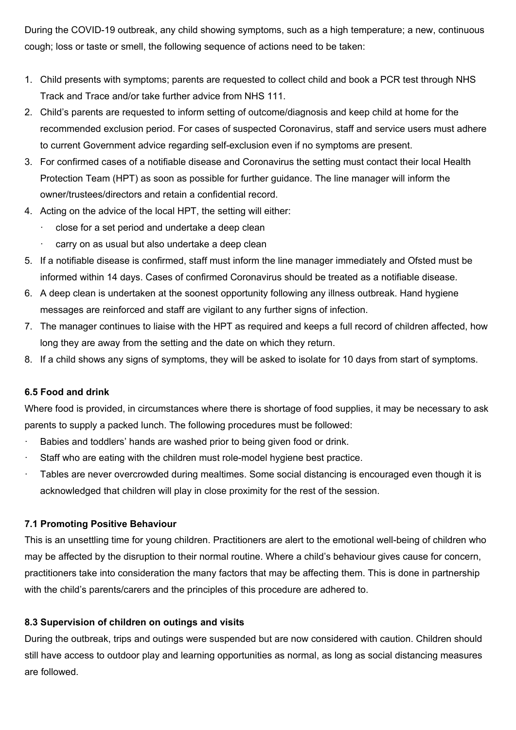During the COVID-19 outbreak, any child showing symptoms, such as a high temperature; a new, continuous cough; loss or taste or smell, the following sequence of actions need to be taken:

- 1. Child presents with symptoms; parents are requested to collect child and book a PCR test through NHS Track and Trace and/or take further advice from NHS 111.
- 2. Child's parents are requested to inform setting of outcome/diagnosis and keep child at home for the recommended exclusion period. For cases of suspected Coronavirus, staff and service users must adhere to current Government advice regarding self-exclusion even if no symptoms are present.
- 3. For confirmed cases of a notifiable disease and Coronavirus the setting must contact their local Health Protection Team (HPT) as soon as possible for further guidance. The line manager will inform the owner/trustees/directors and retain a confidential record.
- 4. Acting on the advice of the local HPT, the setting will either:
	- close for a set period and undertake a deep clean
	- carry on as usual but also undertake a deep clean
- 5. If a notifiable disease is confirmed, staff must inform the line manager immediately and Ofsted must be informed within 14 days. Cases of confirmed Coronavirus should be treated as a notifiable disease.
- 6. A deep clean is undertaken at the soonest opportunity following any illness outbreak. Hand hygiene messages are reinforced and staff are vigilant to any further signs of infection.
- 7. The manager continues to liaise with the HPT as required and keeps a full record of children affected, how long they are away from the setting and the date on which they return.
- 8. If a child shows any signs of symptoms, they will be asked to isolate for 10 days from start of symptoms.

## **6.5 Food and drink**

Where food is provided, in circumstances where there is shortage of food supplies, it may be necessary to ask parents to supply a packed lunch. The following procedures must be followed:

- Babies and toddlers' hands are washed prior to being given food or drink.
- Staff who are eating with the children must role-model hygiene best practice.
- Tables are never overcrowded during mealtimes. Some social distancing is encouraged even though it is acknowledged that children will play in close proximity for the rest of the session.

# **7.1 Promoting Positive Behaviour**

This is an unsettling time for young children. Practitioners are alert to the emotional well-being of children who may be affected by the disruption to their normal routine. Where a child's behaviour gives cause for concern, practitioners take into consideration the many factors that may be affecting them. This is done in partnership with the child's parents/carers and the principles of this procedure are adhered to.

# **8.3 Supervision of children on outings and visits**

During the outbreak, trips and outings were suspended but are now considered with caution. Children should still have access to outdoor play and learning opportunities as normal, as long as social distancing measures are followed.